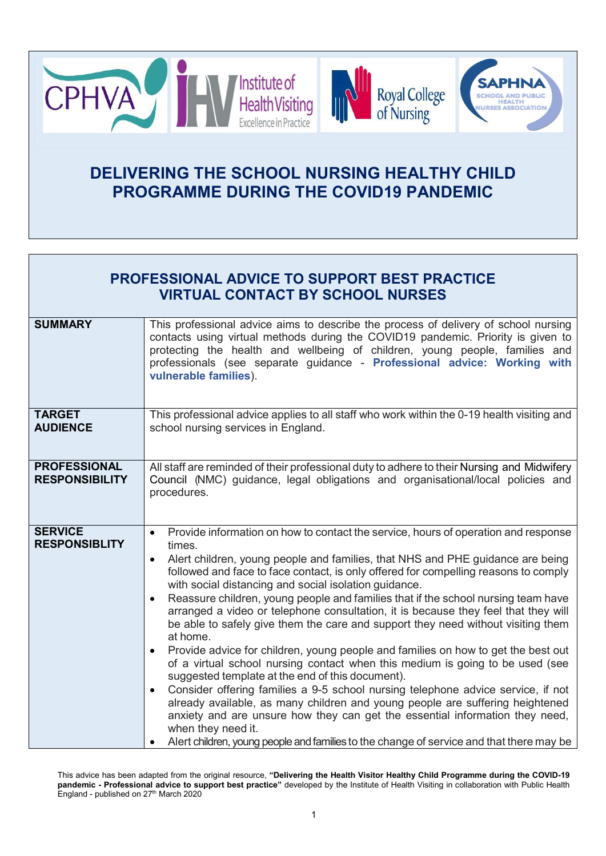

## DELIVERING THE SCHOOL NURSING HEALTHY CHILD PROGRAMME DURING THE COVID19 PANDEMIC

| <b>PROFESSIONAL ADVICE TO SUPPORT BEST PRACTICE</b><br><b>VIRTUAL CONTACT BY SCHOOL NURSES</b> |                                                                                                                                                                                                                                                                                                                                                                                                                                                                                                                                                                                                                                                                                                                                                                                                                                                                                                                                                                                                                                                                                                                                                                                                                                                                             |
|------------------------------------------------------------------------------------------------|-----------------------------------------------------------------------------------------------------------------------------------------------------------------------------------------------------------------------------------------------------------------------------------------------------------------------------------------------------------------------------------------------------------------------------------------------------------------------------------------------------------------------------------------------------------------------------------------------------------------------------------------------------------------------------------------------------------------------------------------------------------------------------------------------------------------------------------------------------------------------------------------------------------------------------------------------------------------------------------------------------------------------------------------------------------------------------------------------------------------------------------------------------------------------------------------------------------------------------------------------------------------------------|
| <b>SUMMARY</b>                                                                                 | This professional advice aims to describe the process of delivery of school nursing<br>contacts using virtual methods during the COVID19 pandemic. Priority is given to<br>protecting the health and wellbeing of children, young people, families and<br>professionals (see separate guidance - Professional advice: Working with<br>vulnerable families).                                                                                                                                                                                                                                                                                                                                                                                                                                                                                                                                                                                                                                                                                                                                                                                                                                                                                                                 |
| <b>TARGET</b><br><b>AUDIENCE</b>                                                               | This professional advice applies to all staff who work within the 0-19 health visiting and<br>school nursing services in England.                                                                                                                                                                                                                                                                                                                                                                                                                                                                                                                                                                                                                                                                                                                                                                                                                                                                                                                                                                                                                                                                                                                                           |
| <b>PROFESSIONAL</b><br><b>RESPONSIBILITY</b>                                                   | All staff are reminded of their professional duty to adhere to their Nursing and Midwifery<br>Council (NMC) guidance, legal obligations and organisational/local policies and<br>procedures.                                                                                                                                                                                                                                                                                                                                                                                                                                                                                                                                                                                                                                                                                                                                                                                                                                                                                                                                                                                                                                                                                |
| <b>SERVICE</b><br><b>RESPONSIBLITY</b>                                                         | Provide information on how to contact the service, hours of operation and response<br>$\bullet$<br>times.<br>Alert children, young people and families, that NHS and PHE guidance are being<br>$\bullet$<br>followed and face to face contact, is only offered for compelling reasons to comply<br>with social distancing and social isolation guidance.<br>Reassure children, young people and families that if the school nursing team have<br>$\bullet$<br>arranged a video or telephone consultation, it is because they feel that they will<br>be able to safely give them the care and support they need without visiting them<br>at home.<br>Provide advice for children, young people and families on how to get the best out<br>$\bullet$<br>of a virtual school nursing contact when this medium is going to be used (see<br>suggested template at the end of this document).<br>Consider offering families a 9-5 school nursing telephone advice service, if not<br>$\bullet$<br>already available, as many children and young people are suffering heightened<br>anxiety and are unsure how they can get the essential information they need,<br>when they need it.<br>Alert children, young people and families to the change of service and that there may be |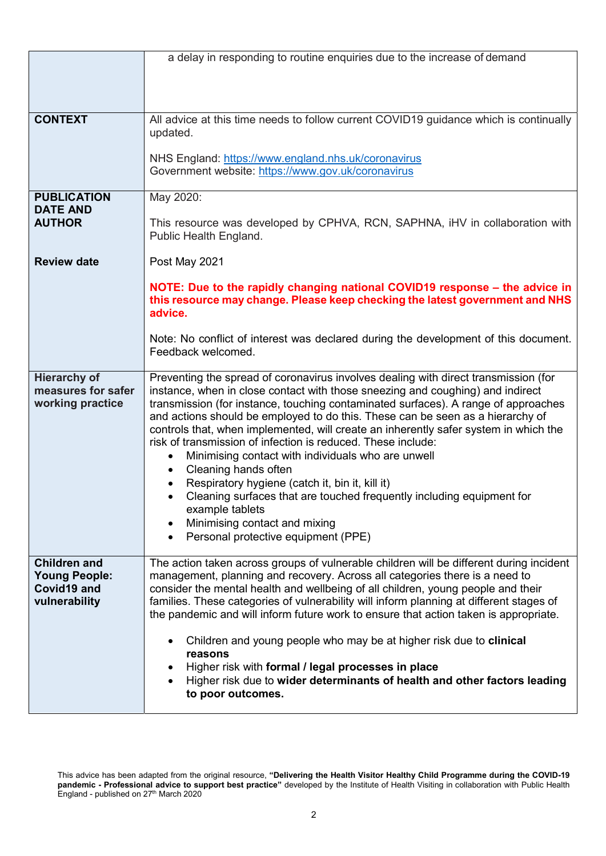|                                                                             | a delay in responding to routine enquiries due to the increase of demand                                                                                                                                                                                                                                                                                                                                                                                                                                                                                                                                                                                                                                                                                                                                                                                       |
|-----------------------------------------------------------------------------|----------------------------------------------------------------------------------------------------------------------------------------------------------------------------------------------------------------------------------------------------------------------------------------------------------------------------------------------------------------------------------------------------------------------------------------------------------------------------------------------------------------------------------------------------------------------------------------------------------------------------------------------------------------------------------------------------------------------------------------------------------------------------------------------------------------------------------------------------------------|
|                                                                             |                                                                                                                                                                                                                                                                                                                                                                                                                                                                                                                                                                                                                                                                                                                                                                                                                                                                |
|                                                                             |                                                                                                                                                                                                                                                                                                                                                                                                                                                                                                                                                                                                                                                                                                                                                                                                                                                                |
| <b>CONTEXT</b>                                                              | All advice at this time needs to follow current COVID19 guidance which is continually<br>updated.                                                                                                                                                                                                                                                                                                                                                                                                                                                                                                                                                                                                                                                                                                                                                              |
|                                                                             | NHS England: https://www.england.nhs.uk/coronavirus<br>Government website: https://www.gov.uk/coronavirus                                                                                                                                                                                                                                                                                                                                                                                                                                                                                                                                                                                                                                                                                                                                                      |
| <b>PUBLICATION</b>                                                          | May 2020:                                                                                                                                                                                                                                                                                                                                                                                                                                                                                                                                                                                                                                                                                                                                                                                                                                                      |
| <b>DATE AND</b><br><b>AUTHOR</b>                                            | This resource was developed by CPHVA, RCN, SAPHNA, iHV in collaboration with<br>Public Health England.                                                                                                                                                                                                                                                                                                                                                                                                                                                                                                                                                                                                                                                                                                                                                         |
| <b>Review date</b>                                                          | Post May 2021                                                                                                                                                                                                                                                                                                                                                                                                                                                                                                                                                                                                                                                                                                                                                                                                                                                  |
|                                                                             | NOTE: Due to the rapidly changing national COVID19 response – the advice in<br>this resource may change. Please keep checking the latest government and NHS<br>advice.                                                                                                                                                                                                                                                                                                                                                                                                                                                                                                                                                                                                                                                                                         |
|                                                                             | Note: No conflict of interest was declared during the development of this document.<br>Feedback welcomed.                                                                                                                                                                                                                                                                                                                                                                                                                                                                                                                                                                                                                                                                                                                                                      |
| <b>Hierarchy of</b><br>measures for safer<br>working practice               | Preventing the spread of coronavirus involves dealing with direct transmission (for<br>instance, when in close contact with those sneezing and coughing) and indirect<br>transmission (for instance, touching contaminated surfaces). A range of approaches<br>and actions should be employed to do this. These can be seen as a hierarchy of<br>controls that, when implemented, will create an inherently safer system in which the<br>risk of transmission of infection is reduced. These include:<br>Minimising contact with individuals who are unwell<br>$\bullet$<br>Cleaning hands often<br>$\bullet$<br>Respiratory hygiene (catch it, bin it, kill it)<br>$\bullet$<br>Cleaning surfaces that are touched frequently including equipment for<br>example tablets<br>Minimising contact and mixing<br>Personal protective equipment (PPE)<br>$\bullet$ |
| <b>Children and</b><br><b>Young People:</b><br>Covid19 and<br>vulnerability | The action taken across groups of vulnerable children will be different during incident<br>management, planning and recovery. Across all categories there is a need to<br>consider the mental health and wellbeing of all children, young people and their<br>families. These categories of vulnerability will inform planning at different stages of<br>the pandemic and will inform future work to ensure that action taken is appropriate.<br>Children and young people who may be at higher risk due to clinical<br>$\bullet$                                                                                                                                                                                                                                                                                                                              |
|                                                                             | reasons<br>Higher risk with formal / legal processes in place<br>٠<br>Higher risk due to wider determinants of health and other factors leading<br>to poor outcomes.                                                                                                                                                                                                                                                                                                                                                                                                                                                                                                                                                                                                                                                                                           |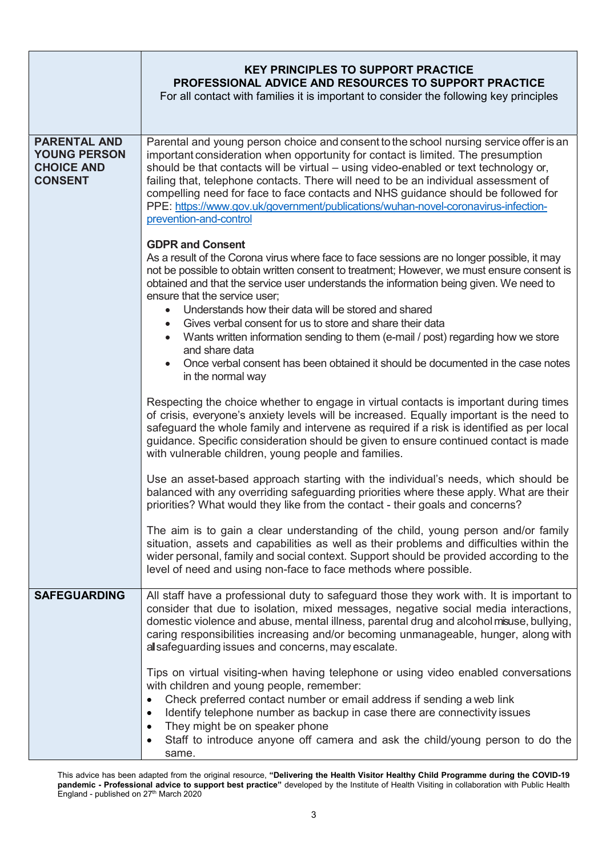|                                                                                   | <b>KEY PRINCIPLES TO SUPPORT PRACTICE</b><br><b>PROFESSIONAL ADVICE AND RESOURCES TO SUPPORT PRACTICE</b><br>For all contact with families it is important to consider the following key principles                                                                                                                                                                                                                                                                                                                                                                                                                                                                                            |
|-----------------------------------------------------------------------------------|------------------------------------------------------------------------------------------------------------------------------------------------------------------------------------------------------------------------------------------------------------------------------------------------------------------------------------------------------------------------------------------------------------------------------------------------------------------------------------------------------------------------------------------------------------------------------------------------------------------------------------------------------------------------------------------------|
| <b>PARENTAL AND</b><br><b>YOUNG PERSON</b><br><b>CHOICE AND</b><br><b>CONSENT</b> | Parental and young person choice and consent to the school nursing service offer is an<br>important consideration when opportunity for contact is limited. The presumption<br>should be that contacts will be virtual - using video-enabled or text technology or,<br>failing that, telephone contacts. There will need to be an individual assessment of<br>compelling need for face to face contacts and NHS guidance should be followed for<br>PPE: https://www.gov.uk/government/publications/wuhan-novel-coronavirus-infection-<br>prevention-and-control                                                                                                                                 |
|                                                                                   | <b>GDPR and Consent</b><br>As a result of the Corona virus where face to face sessions are no longer possible, it may<br>not be possible to obtain written consent to treatment; However, we must ensure consent is<br>obtained and that the service user understands the information being given. We need to<br>ensure that the service user;<br>Understands how their data will be stored and shared<br>Gives verbal consent for us to store and share their data<br>Wants written information sending to them (e-mail / post) regarding how we store<br>$\bullet$<br>and share data<br>Once verbal consent has been obtained it should be documented in the case notes<br>in the normal way |
|                                                                                   | Respecting the choice whether to engage in virtual contacts is important during times<br>of crisis, everyone's anxiety levels will be increased. Equally important is the need to<br>safeguard the whole family and intervene as required if a risk is identified as per local<br>guidance. Specific consideration should be given to ensure continued contact is made<br>with vulnerable children, young people and families.                                                                                                                                                                                                                                                                 |
|                                                                                   | Use an asset-based approach starting with the individual's needs, which should be<br>balanced with any overriding safeguarding priorities where these apply. What are their<br>priorities? What would they like from the contact - their goals and concerns?                                                                                                                                                                                                                                                                                                                                                                                                                                   |
|                                                                                   | The aim is to gain a clear understanding of the child, young person and/or family<br>situation, assets and capabilities as well as their problems and difficulties within the<br>wider personal, family and social context. Support should be provided according to the<br>level of need and using non-face to face methods where possible.                                                                                                                                                                                                                                                                                                                                                    |
| <b>SAFEGUARDING</b>                                                               | All staff have a professional duty to safeguard those they work with. It is important to<br>consider that due to isolation, mixed messages, negative social media interactions,<br>domestic violence and abuse, mental illness, parental drug and alcohol misuse, bullying,<br>caring responsibilities increasing and/or becoming unmanageable, hunger, along with<br>all safeguarding issues and concerns, may escalate.                                                                                                                                                                                                                                                                      |
|                                                                                   | Tips on virtual visiting-when having telephone or using video enabled conversations<br>with children and young people, remember:<br>Check preferred contact number or email address if sending a web link<br>Identify telephone number as backup in case there are connectivity issues<br>٠<br>They might be on speaker phone<br>٠<br>Staff to introduce anyone off camera and ask the child/young person to do the<br>same.                                                                                                                                                                                                                                                                   |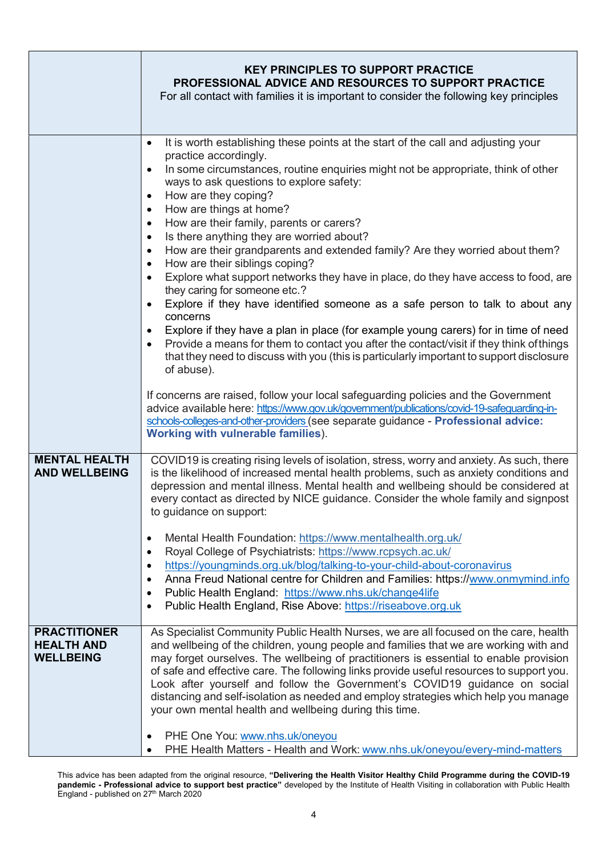|                                                              | <b>KEY PRINCIPLES TO SUPPORT PRACTICE</b><br>PROFESSIONAL ADVICE AND RESOURCES TO SUPPORT PRACTICE<br>For all contact with families it is important to consider the following key principles                                                                                                                                                                                                                                                                                                                                                                                                                                                                                                                                                                                                                                                                                                                                                                                                                                                                                                                                                                                                                                                                                    |
|--------------------------------------------------------------|---------------------------------------------------------------------------------------------------------------------------------------------------------------------------------------------------------------------------------------------------------------------------------------------------------------------------------------------------------------------------------------------------------------------------------------------------------------------------------------------------------------------------------------------------------------------------------------------------------------------------------------------------------------------------------------------------------------------------------------------------------------------------------------------------------------------------------------------------------------------------------------------------------------------------------------------------------------------------------------------------------------------------------------------------------------------------------------------------------------------------------------------------------------------------------------------------------------------------------------------------------------------------------|
|                                                              | It is worth establishing these points at the start of the call and adjusting your<br>$\bullet$<br>practice accordingly.<br>In some circumstances, routine enquiries might not be appropriate, think of other<br>ways to ask questions to explore safety:<br>How are they coping?<br>$\bullet$<br>How are things at home?<br>$\bullet$<br>How are their family, parents or carers?<br>Is there anything they are worried about?<br>How are their grandparents and extended family? Are they worried about them?<br>$\bullet$<br>How are their siblings coping?<br>$\bullet$<br>Explore what support networks they have in place, do they have access to food, are<br>they caring for someone etc.?<br>Explore if they have identified someone as a safe person to talk to about any<br>concerns<br>Explore if they have a plan in place (for example young carers) for in time of need<br>Provide a means for them to contact you after the contact/visit if they think of things<br>that they need to discuss with you (this is particularly important to support disclosure<br>of abuse).<br>If concerns are raised, follow your local safeguarding policies and the Government<br>advice available here: https://www.gov.uk/government/publications/covid-19-safeguarding-in- |
|                                                              | schools-colleges-and-other-providers (see separate guidance - Professional advice:<br><b>Working with vulnerable families).</b>                                                                                                                                                                                                                                                                                                                                                                                                                                                                                                                                                                                                                                                                                                                                                                                                                                                                                                                                                                                                                                                                                                                                                 |
| <b>MENTAL HEALTH</b><br><b>AND WELLBEING</b>                 | COVID19 is creating rising levels of isolation, stress, worry and anxiety. As such, there<br>is the likelihood of increased mental health problems, such as anxiety conditions and<br>depression and mental illness. Mental health and wellbeing should be considered at<br>every contact as directed by NICE guidance. Consider the whole family and signpost<br>to guidance on support:<br>Mental Health Foundation: https://www.mentalhealth.org.uk/<br>Royal College of Psychiatrists: https://www.rcpsych.ac.uk/<br>https://youngminds.org.uk/blog/talking-to-your-child-about-coronavirus<br>Anna Freud National centre for Children and Families: https://www.onmymind.info<br>Public Health England: https://www.nhs.uk/change4life<br>Public Health England, Rise Above: https://riseabove.org.uk                                                                                                                                                                                                                                                                                                                                                                                                                                                                      |
| <b>PRACTITIONER</b><br><b>HEALTH AND</b><br><b>WELLBEING</b> | As Specialist Community Public Health Nurses, we are all focused on the care, health<br>and wellbeing of the children, young people and families that we are working with and<br>may forget ourselves. The wellbeing of practitioners is essential to enable provision<br>of safe and effective care. The following links provide useful resources to support you.<br>Look after yourself and follow the Government's COVID19 guidance on social<br>distancing and self-isolation as needed and employ strategies which help you manage<br>your own mental health and wellbeing during this time.<br>PHE One You: www.nhs.uk/oneyou                                                                                                                                                                                                                                                                                                                                                                                                                                                                                                                                                                                                                                             |
|                                                              | PHE Health Matters - Health and Work: www.nhs.uk/oneyou/every-mind-matters                                                                                                                                                                                                                                                                                                                                                                                                                                                                                                                                                                                                                                                                                                                                                                                                                                                                                                                                                                                                                                                                                                                                                                                                      |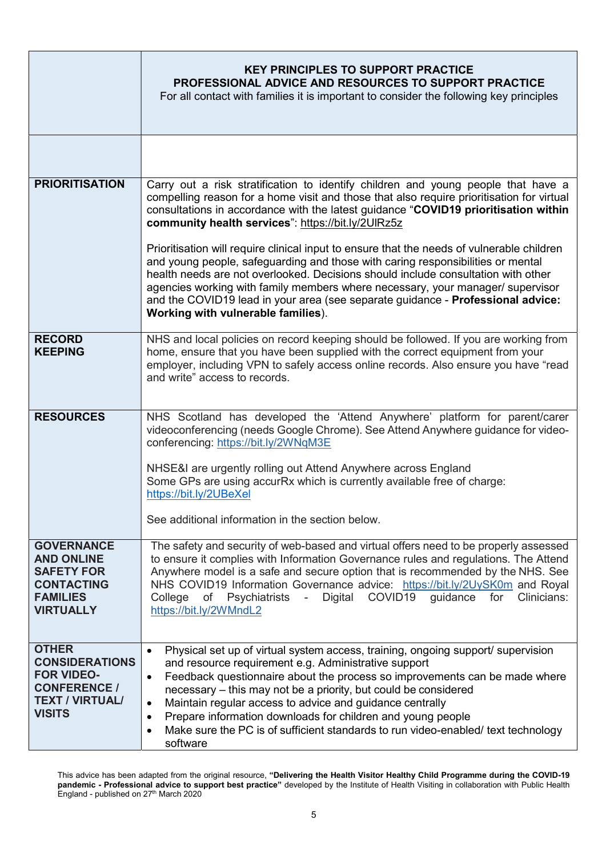|                                                                                                                              | <b>KEY PRINCIPLES TO SUPPORT PRACTICE</b><br><b>PROFESSIONAL ADVICE AND RESOURCES TO SUPPORT PRACTICE</b><br>For all contact with families it is important to consider the following key principles                                                                                                                                                                                                                                                                                                                                                                                    |
|------------------------------------------------------------------------------------------------------------------------------|----------------------------------------------------------------------------------------------------------------------------------------------------------------------------------------------------------------------------------------------------------------------------------------------------------------------------------------------------------------------------------------------------------------------------------------------------------------------------------------------------------------------------------------------------------------------------------------|
|                                                                                                                              |                                                                                                                                                                                                                                                                                                                                                                                                                                                                                                                                                                                        |
| <b>PRIORITISATION</b>                                                                                                        | Carry out a risk stratification to identify children and young people that have a<br>compelling reason for a home visit and those that also require prioritisation for virtual<br>consultations in accordance with the latest guidance "COVID19 prioritisation within<br>community health services": https://bit.ly/2UIRz5z                                                                                                                                                                                                                                                            |
|                                                                                                                              | Prioritisation will require clinical input to ensure that the needs of vulnerable children<br>and young people, safeguarding and those with caring responsibilities or mental<br>health needs are not overlooked. Decisions should include consultation with other<br>agencies working with family members where necessary, your manager/ supervisor<br>and the COVID19 lead in your area (see separate guidance - Professional advice:<br>Working with vulnerable families).                                                                                                          |
| <b>RECORD</b><br><b>KEEPING</b>                                                                                              | NHS and local policies on record keeping should be followed. If you are working from<br>home, ensure that you have been supplied with the correct equipment from your<br>employer, including VPN to safely access online records. Also ensure you have "read<br>and write" access to records.                                                                                                                                                                                                                                                                                          |
| <b>RESOURCES</b>                                                                                                             | NHS Scotland has developed the 'Attend Anywhere' platform for parent/carer<br>videoconferencing (needs Google Chrome). See Attend Anywhere guidance for video-<br>conferencing: https://bit.ly/2WNqM3E                                                                                                                                                                                                                                                                                                                                                                                 |
|                                                                                                                              | NHSE&I are urgently rolling out Attend Anywhere across England<br>Some GPs are using accurRx which is currently available free of charge:<br>https://bit.ly/2UBeXel                                                                                                                                                                                                                                                                                                                                                                                                                    |
|                                                                                                                              | See additional information in the section below.                                                                                                                                                                                                                                                                                                                                                                                                                                                                                                                                       |
| <b>GOVERNANCE</b><br><b>AND ONLINE</b><br><b>SAFETY FOR</b><br><b>CONTACTING</b><br><b>FAMILIES</b><br><b>VIRTUALLY</b>      | The safety and security of web-based and virtual offers need to be properly assessed<br>to ensure it complies with Information Governance rules and regulations. The Attend<br>Anywhere model is a safe and secure option that is recommended by the NHS. See<br>NHS COVID19 Information Governance advice: https://bit.ly/2UySK0m and Royal<br>College of Psychiatrists - Digital COVID19 guidance<br>for<br>Clinicians:<br>https://bit.ly/2WMndL2                                                                                                                                    |
| <b>OTHER</b><br><b>CONSIDERATIONS</b><br><b>FOR VIDEO-</b><br><b>CONFERENCE /</b><br><b>TEXT / VIRTUAL/</b><br><b>VISITS</b> | Physical set up of virtual system access, training, ongoing support/ supervision<br>$\bullet$<br>and resource requirement e.g. Administrative support<br>Feedback questionnaire about the process so improvements can be made where<br>$\bullet$<br>necessary – this may not be a priority, but could be considered<br>Maintain regular access to advice and guidance centrally<br>$\bullet$<br>Prepare information downloads for children and young people<br>$\bullet$<br>Make sure the PC is of sufficient standards to run video-enabled/ text technology<br>$\bullet$<br>software |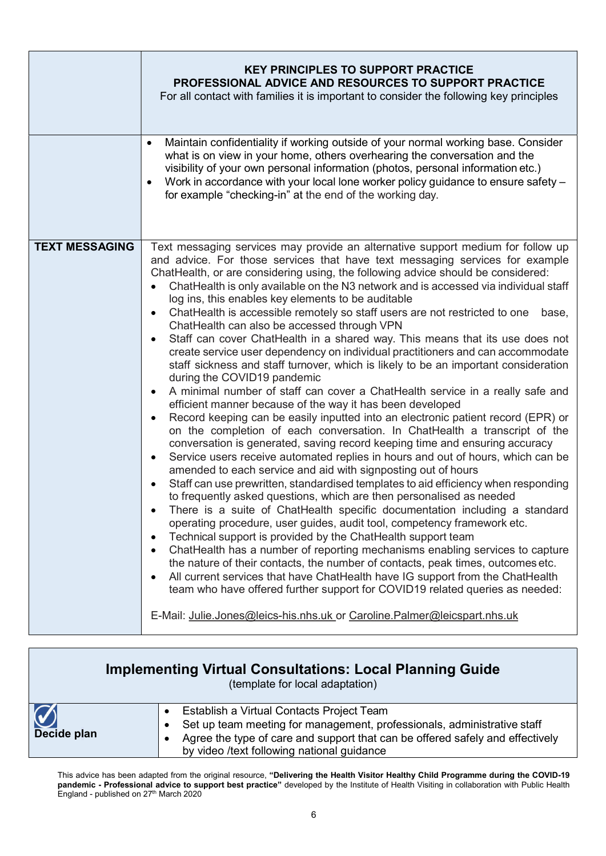|                       | <b>KEY PRINCIPLES TO SUPPORT PRACTICE</b><br><b>PROFESSIONAL ADVICE AND RESOURCES TO SUPPORT PRACTICE</b><br>For all contact with families it is important to consider the following key principles                                                                                                                                                                                                                                                                                                                                                                                                                                                                                                                                                                                                                                                                                                                                                                                                                                                                                                                                                                                                                                                                                                                                                                                                                                                                                                                                                                                                                                                                                                                                                                                                                                                                                                                                                                                                                                                                                                                                                                                                                                         |
|-----------------------|---------------------------------------------------------------------------------------------------------------------------------------------------------------------------------------------------------------------------------------------------------------------------------------------------------------------------------------------------------------------------------------------------------------------------------------------------------------------------------------------------------------------------------------------------------------------------------------------------------------------------------------------------------------------------------------------------------------------------------------------------------------------------------------------------------------------------------------------------------------------------------------------------------------------------------------------------------------------------------------------------------------------------------------------------------------------------------------------------------------------------------------------------------------------------------------------------------------------------------------------------------------------------------------------------------------------------------------------------------------------------------------------------------------------------------------------------------------------------------------------------------------------------------------------------------------------------------------------------------------------------------------------------------------------------------------------------------------------------------------------------------------------------------------------------------------------------------------------------------------------------------------------------------------------------------------------------------------------------------------------------------------------------------------------------------------------------------------------------------------------------------------------------------------------------------------------------------------------------------------------|
|                       | Maintain confidentiality if working outside of your normal working base. Consider<br>$\bullet$<br>what is on view in your home, others overhearing the conversation and the<br>visibility of your own personal information (photos, personal information etc.)<br>Work in accordance with your local lone worker policy guidance to ensure safety -<br>for example "checking-in" at the end of the working day.                                                                                                                                                                                                                                                                                                                                                                                                                                                                                                                                                                                                                                                                                                                                                                                                                                                                                                                                                                                                                                                                                                                                                                                                                                                                                                                                                                                                                                                                                                                                                                                                                                                                                                                                                                                                                             |
| <b>TEXT MESSAGING</b> | Text messaging services may provide an alternative support medium for follow up<br>and advice. For those services that have text messaging services for example<br>ChatHealth, or are considering using, the following advice should be considered:<br>ChatHealth is only available on the N3 network and is accessed via individual staff<br>log ins, this enables key elements to be auditable<br>ChatHealth is accessible remotely so staff users are not restricted to one<br>base,<br>$\bullet$<br>ChatHealth can also be accessed through VPN<br>Staff can cover ChatHealth in a shared way. This means that its use does not<br>create service user dependency on individual practitioners and can accommodate<br>staff sickness and staff turnover, which is likely to be an important consideration<br>during the COVID19 pandemic<br>A minimal number of staff can cover a ChatHealth service in a really safe and<br>efficient manner because of the way it has been developed<br>Record keeping can be easily inputted into an electronic patient record (EPR) or<br>$\bullet$<br>on the completion of each conversation. In ChatHealth a transcript of the<br>conversation is generated, saving record keeping time and ensuring accuracy<br>Service users receive automated replies in hours and out of hours, which can be<br>$\bullet$<br>amended to each service and aid with signposting out of hours<br>Staff can use prewritten, standardised templates to aid efficiency when responding<br>to frequently asked questions, which are then personalised as needed<br>There is a suite of ChatHealth specific documentation including a standard<br>operating procedure, user guides, audit tool, competency framework etc.<br>Technical support is provided by the ChatHealth support team<br>ChatHealth has a number of reporting mechanisms enabling services to capture<br>$\bullet$<br>the nature of their contacts, the number of contacts, peak times, outcomes etc.<br>All current services that have ChatHealth have IG support from the ChatHealth<br>team who have offered further support for COVID19 related queries as needed:<br>E-Mail: Julie.Jones@leics-his.nhs.uk or Caroline.Palmer@leicspart.nhs.uk |

|             | <b>Implementing Virtual Consultations: Local Planning Guide</b><br>(template for local adaptation)                                                                                                                                                  |
|-------------|-----------------------------------------------------------------------------------------------------------------------------------------------------------------------------------------------------------------------------------------------------|
| Decide plan | Establish a Virtual Contacts Project Team<br>Set up team meeting for management, professionals, administrative staff<br>Agree the type of care and support that can be offered safely and effectively<br>by video /text following national guidance |

Г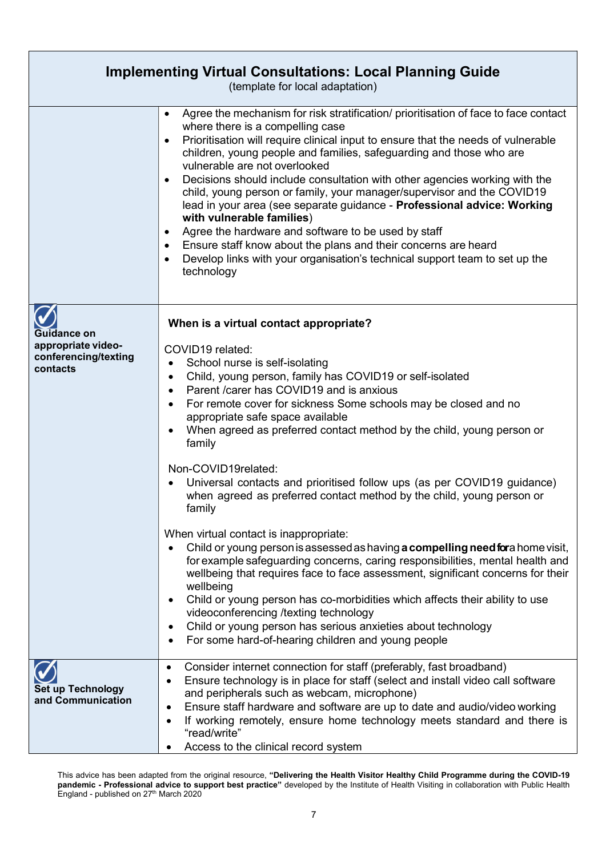| <b>Implementing Virtual Consultations: Local Planning Guide</b><br>(template for local adaptation) |                                                                                                                                                                                                                                                                                                                                                                                                                                                                                                                                                                                                                                                                                                                                                                                                                                                                                                                                                                                                                                                                                                                                                                                                                                                                              |
|----------------------------------------------------------------------------------------------------|------------------------------------------------------------------------------------------------------------------------------------------------------------------------------------------------------------------------------------------------------------------------------------------------------------------------------------------------------------------------------------------------------------------------------------------------------------------------------------------------------------------------------------------------------------------------------------------------------------------------------------------------------------------------------------------------------------------------------------------------------------------------------------------------------------------------------------------------------------------------------------------------------------------------------------------------------------------------------------------------------------------------------------------------------------------------------------------------------------------------------------------------------------------------------------------------------------------------------------------------------------------------------|
|                                                                                                    | Agree the mechanism for risk stratification/ prioritisation of face to face contact<br>where there is a compelling case<br>Prioritisation will require clinical input to ensure that the needs of vulnerable<br>children, young people and families, safeguarding and those who are<br>vulnerable are not overlooked<br>Decisions should include consultation with other agencies working with the<br>child, young person or family, your manager/supervisor and the COVID19<br>lead in your area (see separate guidance - Professional advice: Working<br>with vulnerable families)<br>Agree the hardware and software to be used by staff<br>Ensure staff know about the plans and their concerns are heard<br>Develop links with your organisation's technical support team to set up the<br>technology                                                                                                                                                                                                                                                                                                                                                                                                                                                                   |
| Guidance on<br>appropriate video-<br>conferencing/texting<br>contacts                              | When is a virtual contact appropriate?<br>COVID19 related:<br>School nurse is self-isolating<br>$\bullet$<br>Child, young person, family has COVID19 or self-isolated<br>$\bullet$<br>Parent / carer has COVID19 and is anxious<br>$\bullet$<br>For remote cover for sickness Some schools may be closed and no<br>$\bullet$<br>appropriate safe space available<br>When agreed as preferred contact method by the child, young person or<br>$\bullet$<br>family<br>Non-COVID19related:<br>Universal contacts and prioritised follow ups (as per COVID19 guidance)<br>when agreed as preferred contact method by the child, young person or<br>family<br>When virtual contact is inappropriate:<br>Child or young person is assessed as having <b>a compelling need for</b> a home visit,<br>$\bullet$<br>for example safeguarding concerns, caring responsibilities, mental health and<br>wellbeing that requires face to face assessment, significant concerns for their<br>wellbeing<br>Child or young person has co-morbidities which affects their ability to use<br>$\bullet$<br>videoconferencing /texting technology<br>Child or young person has serious anxieties about technology<br>$\bullet$<br>For some hard-of-hearing children and young people<br>$\bullet$ |
| <b>Set up Technology</b><br>and Communication                                                      | Consider internet connection for staff (preferably, fast broadband)<br>٠<br>Ensure technology is in place for staff (select and install video call software<br>$\bullet$<br>and peripherals such as webcam, microphone)<br>Ensure staff hardware and software are up to date and audio/video working<br>٠<br>If working remotely, ensure home technology meets standard and there is<br>$\bullet$<br>"read/write"<br>Access to the clinical record system                                                                                                                                                                                                                                                                                                                                                                                                                                                                                                                                                                                                                                                                                                                                                                                                                    |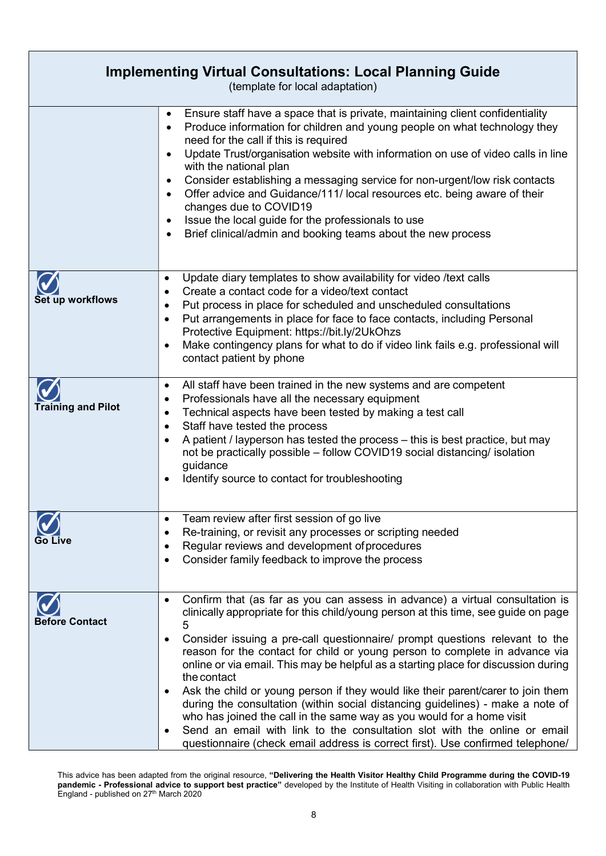| <b>Implementing Virtual Consultations: Local Planning Guide</b><br>(template for local adaptation) |                                                                                                                                                                                                                                                                                                                                                                                                                                                                                                                                                                                                                                                                                                                                                                                                                                                          |
|----------------------------------------------------------------------------------------------------|----------------------------------------------------------------------------------------------------------------------------------------------------------------------------------------------------------------------------------------------------------------------------------------------------------------------------------------------------------------------------------------------------------------------------------------------------------------------------------------------------------------------------------------------------------------------------------------------------------------------------------------------------------------------------------------------------------------------------------------------------------------------------------------------------------------------------------------------------------|
|                                                                                                    | Ensure staff have a space that is private, maintaining client confidentiality<br>$\bullet$<br>Produce information for children and young people on what technology they<br>need for the call if this is required<br>Update Trust/organisation website with information on use of video calls in line<br>with the national plan<br>Consider establishing a messaging service for non-urgent/low risk contacts<br>Offer advice and Guidance/111/ local resources etc. being aware of their<br>$\bullet$<br>changes due to COVID19<br>Issue the local guide for the professionals to use<br>Brief clinical/admin and booking teams about the new process                                                                                                                                                                                                    |
| Set up workflows                                                                                   | Update diary templates to show availability for video /text calls<br>$\bullet$<br>Create a contact code for a video/text contact<br>Put process in place for scheduled and unscheduled consultations<br>Put arrangements in place for face to face contacts, including Personal<br>Protective Equipment: https://bit.ly/2UkOhzs<br>Make contingency plans for what to do if video link fails e.g. professional will<br>contact patient by phone                                                                                                                                                                                                                                                                                                                                                                                                          |
| <b>Training and Pilot</b>                                                                          | All staff have been trained in the new systems and are competent<br>$\bullet$<br>Professionals have all the necessary equipment<br>Technical aspects have been tested by making a test call<br>Staff have tested the process<br>$\bullet$<br>A patient / layperson has tested the process - this is best practice, but may<br>not be practically possible - follow COVID19 social distancing/ isolation<br>guidance<br>Identify source to contact for troubleshooting                                                                                                                                                                                                                                                                                                                                                                                    |
| Go Live                                                                                            | Team review after first session of go live<br>$\bullet$<br>Re-training, or revisit any processes or scripting needed<br>Regular reviews and development of procedures<br>Consider family feedback to improve the process<br>$\bullet$                                                                                                                                                                                                                                                                                                                                                                                                                                                                                                                                                                                                                    |
| <b>Before Contact</b>                                                                              | Confirm that (as far as you can assess in advance) a virtual consultation is<br>clinically appropriate for this child/young person at this time, see guide on page<br>5<br>Consider issuing a pre-call questionnaire/ prompt questions relevant to the<br>reason for the contact for child or young person to complete in advance via<br>online or via email. This may be helpful as a starting place for discussion during<br>the contact<br>Ask the child or young person if they would like their parent/carer to join them<br>during the consultation (within social distancing guidelines) - make a note of<br>who has joined the call in the same way as you would for a home visit<br>Send an email with link to the consultation slot with the online or email<br>questionnaire (check email address is correct first). Use confirmed telephone/ |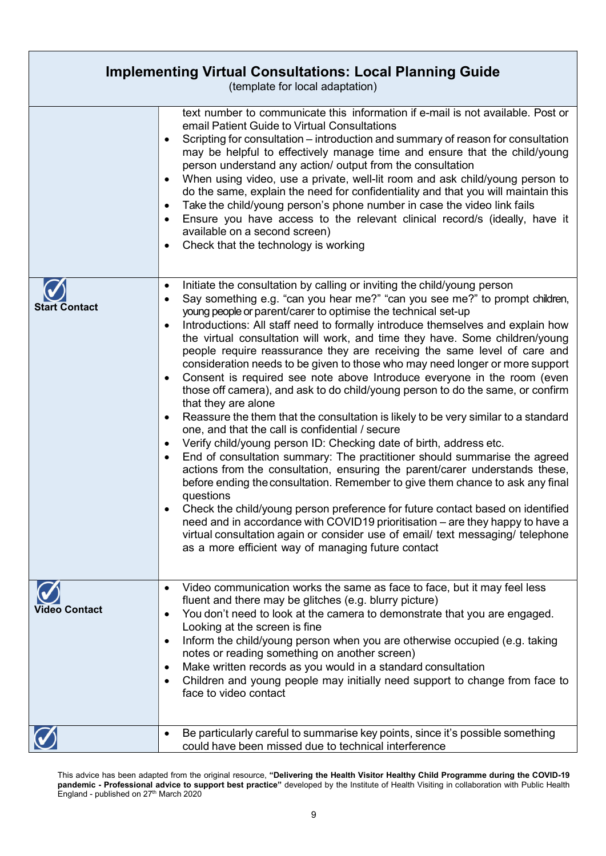| <b>Implementing Virtual Consultations: Local Planning Guide</b><br>(template for local adaptation) |                                                                                                                                                                                                                                                                                                                                                                                                                                                                                                                                                                                                                                                                                                                                                                                                                                                                                                                                                                                                                                                                                                                                                                                                                                                                                                                                                                                                                                                                                                                                                                                    |
|----------------------------------------------------------------------------------------------------|------------------------------------------------------------------------------------------------------------------------------------------------------------------------------------------------------------------------------------------------------------------------------------------------------------------------------------------------------------------------------------------------------------------------------------------------------------------------------------------------------------------------------------------------------------------------------------------------------------------------------------------------------------------------------------------------------------------------------------------------------------------------------------------------------------------------------------------------------------------------------------------------------------------------------------------------------------------------------------------------------------------------------------------------------------------------------------------------------------------------------------------------------------------------------------------------------------------------------------------------------------------------------------------------------------------------------------------------------------------------------------------------------------------------------------------------------------------------------------------------------------------------------------------------------------------------------------|
|                                                                                                    | text number to communicate this information if e-mail is not available. Post or<br>email Patient Guide to Virtual Consultations<br>Scripting for consultation – introduction and summary of reason for consultation<br>may be helpful to effectively manage time and ensure that the child/young<br>person understand any action/ output from the consultation<br>When using video, use a private, well-lit room and ask child/young person to<br>do the same, explain the need for confidentiality and that you will maintain this<br>Take the child/young person's phone number in case the video link fails<br>$\bullet$<br>Ensure you have access to the relevant clinical record/s (ideally, have it<br>available on a second screen)<br>Check that the technology is working                                                                                                                                                                                                                                                                                                                                                                                                                                                                                                                                                                                                                                                                                                                                                                                                 |
| <b>Start Contact</b>                                                                               | Initiate the consultation by calling or inviting the child/young person<br>٠<br>Say something e.g. "can you hear me?" "can you see me?" to prompt children,<br>٠<br>young people or parent/carer to optimise the technical set-up<br>Introductions: All staff need to formally introduce themselves and explain how<br>the virtual consultation will work, and time they have. Some children/young<br>people require reassurance they are receiving the same level of care and<br>consideration needs to be given to those who may need longer or more support<br>Consent is required see note above Introduce everyone in the room (even<br>$\bullet$<br>those off camera), and ask to do child/young person to do the same, or confirm<br>that they are alone<br>Reassure the them that the consultation is likely to be very similar to a standard<br>$\bullet$<br>one, and that the call is confidential / secure<br>Verify child/young person ID: Checking date of birth, address etc.<br>٠<br>End of consultation summary: The practitioner should summarise the agreed<br>$\bullet$<br>actions from the consultation, ensuring the parent/carer understands these,<br>before ending the consultation. Remember to give them chance to ask any final<br>questions<br>Check the child/young person preference for future contact based on identified<br>need and in accordance with COVID19 prioritisation – are they happy to have a<br>virtual consultation again or consider use of email/ text messaging/ telephone<br>as a more efficient way of managing future contact |
| Video Contact                                                                                      | Video communication works the same as face to face, but it may feel less<br>fluent and there may be glitches (e.g. blurry picture)<br>You don't need to look at the camera to demonstrate that you are engaged.<br>$\bullet$<br>Looking at the screen is fine<br>Inform the child/young person when you are otherwise occupied (e.g. taking<br>$\bullet$<br>notes or reading something on another screen)<br>Make written records as you would in a standard consultation<br>$\bullet$<br>Children and young people may initially need support to change from face to<br>$\bullet$<br>face to video contact                                                                                                                                                                                                                                                                                                                                                                                                                                                                                                                                                                                                                                                                                                                                                                                                                                                                                                                                                                        |
|                                                                                                    | Be particularly careful to summarise key points, since it's possible something<br>could have been missed due to technical interference                                                                                                                                                                                                                                                                                                                                                                                                                                                                                                                                                                                                                                                                                                                                                                                                                                                                                                                                                                                                                                                                                                                                                                                                                                                                                                                                                                                                                                             |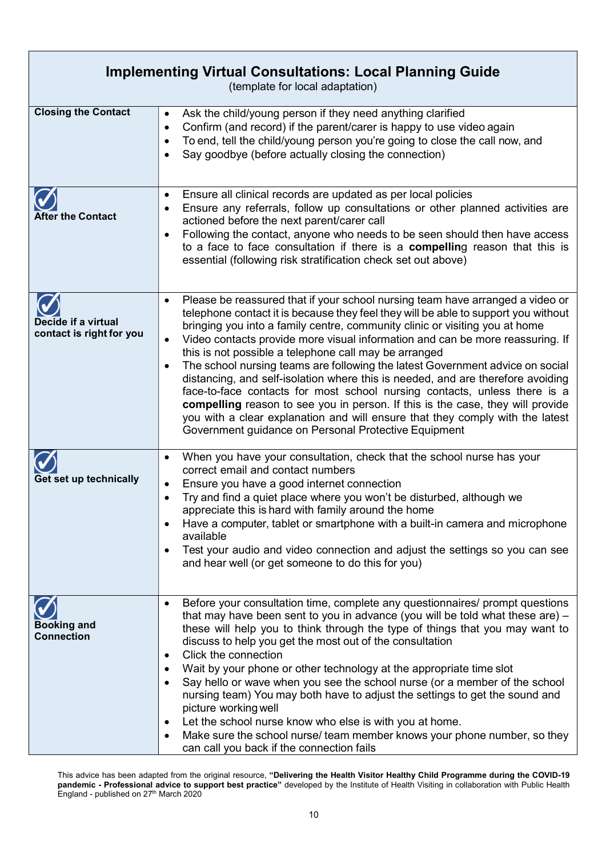| <b>Implementing Virtual Consultations: Local Planning Guide</b><br>(template for local adaptation) |                                                                                                                                                                                                                                                                                                                                                                                                                                                                                                                                                                                                                                                                                                                                                                                                                                                                                                 |
|----------------------------------------------------------------------------------------------------|-------------------------------------------------------------------------------------------------------------------------------------------------------------------------------------------------------------------------------------------------------------------------------------------------------------------------------------------------------------------------------------------------------------------------------------------------------------------------------------------------------------------------------------------------------------------------------------------------------------------------------------------------------------------------------------------------------------------------------------------------------------------------------------------------------------------------------------------------------------------------------------------------|
| <b>Closing the Contact</b>                                                                         | Ask the child/young person if they need anything clarified<br>$\bullet$<br>Confirm (and record) if the parent/carer is happy to use video again<br>٠<br>To end, tell the child/young person you're going to close the call now, and<br>٠<br>Say goodbye (before actually closing the connection)<br>٠                                                                                                                                                                                                                                                                                                                                                                                                                                                                                                                                                                                           |
| <b>After the Contact</b>                                                                           | Ensure all clinical records are updated as per local policies<br>٠<br>Ensure any referrals, follow up consultations or other planned activities are<br>actioned before the next parent/carer call<br>Following the contact, anyone who needs to be seen should then have access<br>$\bullet$<br>to a face to face consultation if there is a compelling reason that this is<br>essential (following risk stratification check set out above)                                                                                                                                                                                                                                                                                                                                                                                                                                                    |
| Decide if a virtual<br>contact is right for you                                                    | Please be reassured that if your school nursing team have arranged a video or<br>٠<br>telephone contact it is because they feel they will be able to support you without<br>bringing you into a family centre, community clinic or visiting you at home<br>Video contacts provide more visual information and can be more reassuring. If<br>$\bullet$<br>this is not possible a telephone call may be arranged<br>The school nursing teams are following the latest Government advice on social<br>٠<br>distancing, and self-isolation where this is needed, and are therefore avoiding<br>face-to-face contacts for most school nursing contacts, unless there is a<br>compelling reason to see you in person. If this is the case, they will provide<br>you with a clear explanation and will ensure that they comply with the latest<br>Government guidance on Personal Protective Equipment |
| Get set up technically                                                                             | When you have your consultation, check that the school nurse has your<br>٠<br>correct email and contact numbers<br>Ensure you have a good internet connection<br>$\bullet$<br>Try and find a quiet place where you won't be disturbed, although we<br>٠<br>appreciate this is hard with family around the home<br>Have a computer, tablet or smartphone with a built-in camera and microphone<br>$\bullet$<br>available<br>Test your audio and video connection and adjust the settings so you can see<br>$\bullet$<br>and hear well (or get someone to do this for you)                                                                                                                                                                                                                                                                                                                        |
| <b>Booking and</b><br><b>Connection</b>                                                            | Before your consultation time, complete any questionnaires/ prompt questions<br>٠<br>that may have been sent to you in advance (you will be told what these are) $-$<br>these will help you to think through the type of things that you may want to<br>discuss to help you get the most out of the consultation<br>Click the connection<br>$\bullet$<br>Wait by your phone or other technology at the appropriate time slot<br>Say hello or wave when you see the school nurse (or a member of the school<br>٠<br>nursing team) You may both have to adjust the settings to get the sound and<br>picture working well<br>Let the school nurse know who else is with you at home.<br>$\bullet$<br>Make sure the school nurse/ team member knows your phone number, so they<br>can call you back if the connection fails                                                                         |